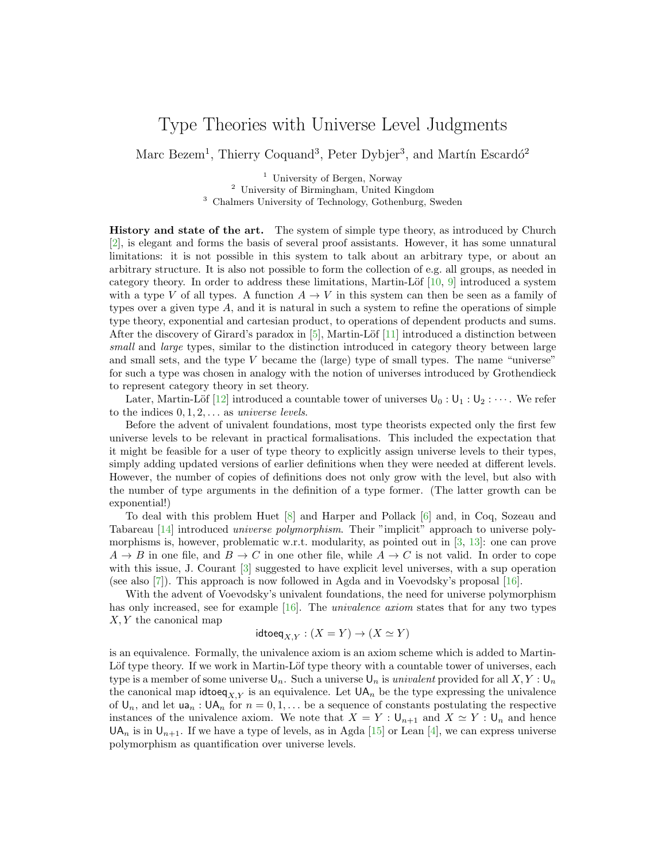## Type Theories with Universe Level Judgments

Marc Bezem<sup>1</sup>, Thierry Coquand<sup>3</sup>, Peter Dybjer<sup>3</sup>, and Martín Escardó<sup>2</sup>

<sup>1</sup> University of Bergen, Norway <sup>2</sup> University of Birmingham, United Kingdom <sup>3</sup> Chalmers University of Technology, Gothenburg, Sweden

History and state of the art. The system of simple type theory, as introduced by Church [\[2\]](#page-2-0), is elegant and forms the basis of several proof assistants. However, it has some unnatural limitations: it is not possible in this system to talk about an arbitrary type, or about an arbitrary structure. It is also not possible to form the collection of e.g. all groups, as needed in category theory. In order to address these limitations, Martin-Löf  $[10, 9]$  $[10, 9]$  $[10, 9]$  introduced a system with a type V of all types. A function  $A \to V$  in this system can then be seen as a family of types over a given type  $A$ , and it is natural in such a system to refine the operations of simple type theory, exponential and cartesian product, to operations of dependent products and sums. After the discovery of Girard's paradox in  $[5]$ , Martin-Löf  $[11]$  introduced a distinction between small and large types, similar to the distinction introduced in category theory between large and small sets, and the type  $V$  became the (large) type of small types. The name "universe" for such a type was chosen in analogy with the notion of universes introduced by Grothendieck to represent category theory in set theory.

Later, Martin-Löf [\[12\]](#page-2-5) introduced a countable tower of universes  $U_0: U_1: U_2: \cdots$ . We refer to the indices  $0, 1, 2, \ldots$  as universe levels.

Before the advent of univalent foundations, most type theorists expected only the first few universe levels to be relevant in practical formalisations. This included the expectation that it might be feasible for a user of type theory to explicitly assign universe levels to their types, simply adding updated versions of earlier definitions when they were needed at different levels. However, the number of copies of definitions does not only grow with the level, but also with the number of type arguments in the definition of a type former. (The latter growth can be exponential!)

To deal with this problem Huet [\[8\]](#page-2-6) and Harper and Pollack [\[6\]](#page-2-7) and, in Coq, Sozeau and Tabareau [\[14\]](#page-2-8) introduced universe polymorphism. Their "implicit" approach to universe polymorphisms is, however, problematic w.r.t. modularity, as pointed out in [\[3,](#page-2-9) [13\]](#page-2-10): one can prove  $A \to B$  in one file, and  $B \to C$  in one other file, while  $A \to C$  is not valid. In order to cope with this issue, J. Courant [\[3\]](#page-2-9) suggested to have explicit level universes, with a sup operation (see also [\[7\]](#page-2-11)). This approach is now followed in Agda and in Voevodsky's proposal [\[16\]](#page-2-12).

With the advent of Voevodsky's univalent foundations, the need for universe polymorphism has only increased, see for example [\[16\]](#page-2-12). The *univalence axiom* states that for any two types  $X, Y$  the canonical map

$$
\mathsf{idtoeq}_{X,Y}: (X=Y) \to (X \simeq Y)
$$

is an equivalence. Formally, the univalence axiom is an axiom scheme which is added to Martin-Löf type theory. If we work in Martin-Löf type theory with a countable tower of universes, each type is a member of some universe  $\mathsf{U}_n$ . Such a universe  $\mathsf{U}_n$  is univalent provided for all  $X, Y : \mathsf{U}_n$ the canonical map idtoe $q_{X,Y}$  is an equivalence. Let  $UA_n$  be the type expressing the univalence of  $\mathsf{U}_n$ , and let  $\mathsf{u}_n : \mathsf{U}\mathsf{A}_n$  for  $n = 0, 1, \ldots$  be a sequence of constants postulating the respective instances of the univalence axiom. We note that  $X = Y : \bigcup_{n+1}$  and  $X \simeq Y : \bigcup_n$  and hence  $UA_n$  is in  $U_{n+1}$ . If we have a type of levels, as in Agda [\[15\]](#page-2-13) or Lean [\[4\]](#page-2-14), we can express universe polymorphism as quantification over universe levels.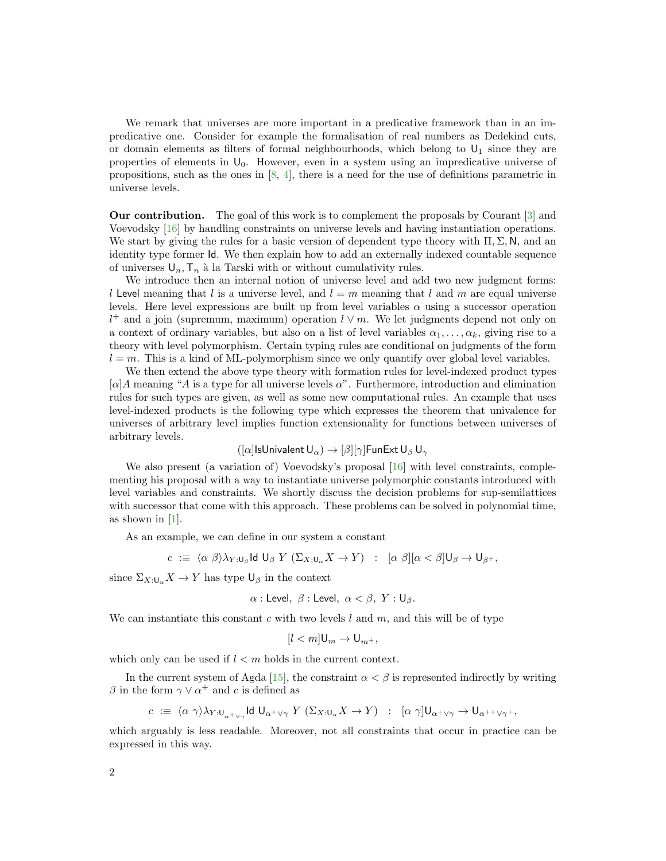We remark that universes are more important in a predicative framework than in an impredicative one. Consider for example the formalisation of real numbers as Dedekind cuts, or domain elements as filters of formal neighbourhoods, which belong to  $U_1$  since they are properties of elements in  $U_0$ . However, even in a system using an impredicative universe of propositions, such as the ones in  $[8, 4]$  $[8, 4]$  $[8, 4]$ , there is a need for the use of definitions parametric in universe levels.

Our contribution. The goal of this work is to complement the proposals by Courant [\[3\]](#page-2-9) and Voevodsky [\[16\]](#page-2-12) by handling constraints on universe levels and having instantiation operations. We start by giving the rules for a basic version of dependent type theory with  $\Pi$ ,  $\Sigma$ , N, and an identity type former Id. We then explain how to add an externally indexed countable sequence of universes  $U_n$ ,  $T_n$  à la Tarski with or without cumulativity rules.

We introduce then an internal notion of universe level and add two new judgment forms: l Level meaning that l is a universe level, and  $l = m$  meaning that l and m are equal universe levels. Here level expressions are built up from level variables  $\alpha$  using a successor operation  $l^+$  and a join (supremum, maximum) operation  $l \vee m$ . We let judgments depend not only on a context of ordinary variables, but also on a list of level variables  $\alpha_1, \ldots, \alpha_k$ , giving rise to a theory with level polymorphism. Certain typing rules are conditional on judgments of the form  $l = m$ . This is a kind of ML-polymorphism since we only quantify over global level variables.

We then extend the above type theory with formation rules for level-indexed product types  $\lceil \alpha \rceil A$  meaning "A is a type for all universe levels  $\alpha$ ". Furthermore, introduction and elimination rules for such types are given, as well as some new computational rules. An example that uses level-indexed products is the following type which expresses the theorem that univalence for universes of arbitrary level implies function extensionality for functions between universes of arbitrary levels.

$$
([\alpha]\textsf{ISUnivalent}\, \mathsf{U}_{\alpha}) \to [\beta][\gamma]\textsf{FunExt}\, \mathsf{U}_{\beta}\, \mathsf{U}_{\gamma}
$$

We also present (a variation of) Voevodsky's proposal [\[16\]](#page-2-12) with level constraints, complementing his proposal with a way to instantiate universe polymorphic constants introduced with level variables and constraints. We shortly discuss the decision problems for sup-semilattices with successor that come with this approach. These problems can be solved in polynomial time, as shown in [\[1\]](#page-2-15).

As an example, we can define in our system a constant

$$
c := \langle \alpha \beta \rangle \lambda_{Y:\mathsf{U}_{\beta}} \mathsf{Id} \, \mathsf{U}_{\beta} \, Y \, (\Sigma_{X:\mathsf{U}_{\alpha}} X \to Y) \ : \ [\alpha \beta][\alpha < \beta] \mathsf{U}_{\beta} \to \mathsf{U}_{\beta^+},
$$

since  $\Sigma_{X:\mathsf{U}_{\alpha}} X \to Y$  has type  $\mathsf{U}_{\beta}$  in the context

$$
\alpha: \mathsf{Level}, \ \beta: \mathsf{Level}, \ \alpha < \beta, \ Y: \mathsf{U}_{\beta}.
$$

We can instantiate this constant c with two levels  $l$  and  $m$ , and this will be of type

$$
[l < m] \mathsf{U}_m \to \mathsf{U}_{m^+},
$$

which only can be used if  $l < m$  holds in the current context.

In the current system of Agda [\[15\]](#page-2-13), the constraint  $\alpha < \beta$  is represented indirectly by writing β in the form  $\gamma \vee \alpha^+$  and c is defined as

$$
c := \langle \alpha \gamma \rangle \lambda_{Y:\mathsf{U}_{\alpha^+\vee \gamma}} \mathsf{Id} \; \mathsf{U}_{\alpha^+\vee \gamma} \; Y \; (\Sigma_{X:\mathsf{U}_{\alpha}} X \to Y) \; : \; [\alpha \; \gamma] \mathsf{U}_{\alpha^+\vee \gamma} \to \mathsf{U}_{\alpha^{++}\vee \gamma^+},
$$

which arguably is less readable. Moreover, not all constraints that occur in practice can be expressed in this way.